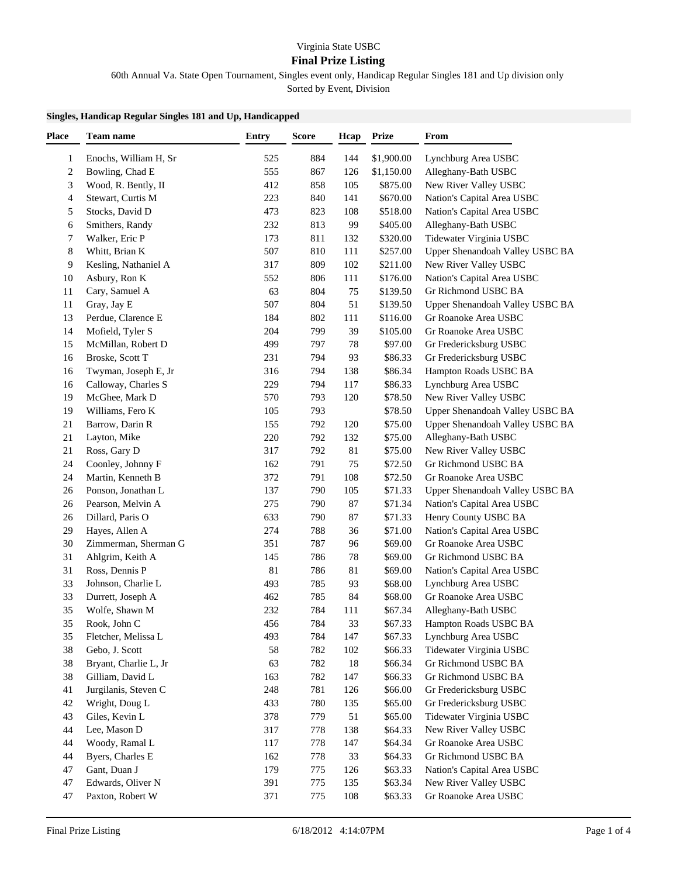## Virginia State USBC

## **Final Prize Listing**

60th Annual Va. State Open Tournament, Singles event only, Handicap Regular Singles 181 and Up division only

Sorted by Event, Division

## **Singles, Handicap Regular Singles 181 and Up, Handicapped**

| <b>Place</b> | Team name                        | <b>Entry</b> | <b>Score</b> | Hcap      | <b>Prize</b> | From                                              |
|--------------|----------------------------------|--------------|--------------|-----------|--------------|---------------------------------------------------|
| 1            | Enochs, William H, Sr            | 525          | 884          | 144       | \$1,900.00   | Lynchburg Area USBC                               |
| 2            | Bowling, Chad E                  | 555          | 867          | 126       | \$1,150.00   | Alleghany-Bath USBC                               |
| 3            | Wood, R. Bently, II              | 412          | 858          | 105       | \$875.00     | New River Valley USBC                             |
| 4            | Stewart, Curtis M                | 223          | 840          | 141       | \$670.00     | Nation's Capital Area USBC                        |
| 5            | Stocks, David D                  | 473          | 823          | 108       | \$518.00     | Nation's Capital Area USBC                        |
| 6            | Smithers, Randy                  | 232          | 813          | 99        | \$405.00     | Alleghany-Bath USBC                               |
| 7            | Walker, Eric P                   | 173          | 811          | 132       | \$320.00     | Tidewater Virginia USBC                           |
| 8            | Whitt, Brian K                   | 507          | 810          | 111       | \$257.00     | Upper Shenandoah Valley USBC BA                   |
| 9            | Kesling, Nathaniel A             | 317          | 809          | 102       | \$211.00     | New River Valley USBC                             |
| 10           | Asbury, Ron K                    | 552          | 806          | 111       | \$176.00     | Nation's Capital Area USBC                        |
| 11           | Cary, Samuel A                   | 63           | 804          | 75        | \$139.50     | Gr Richmond USBC BA                               |
| 11           | Gray, Jay E                      | 507          | 804          | 51        | \$139.50     | Upper Shenandoah Valley USBC BA                   |
| 13           | Perdue, Clarence E               | 184          | 802          | 111       | \$116.00     | Gr Roanoke Area USBC                              |
| 14           | Mofield, Tyler S                 | 204          | 799          | 39        | \$105.00     | Gr Roanoke Area USBC                              |
| 15           | McMillan, Robert D               | 499          | 797          | 78        | \$97.00      | Gr Fredericksburg USBC                            |
| 16           | Broske, Scott T                  | 231          | 794          | 93        | \$86.33      | Gr Fredericksburg USBC                            |
| 16           | Twyman, Joseph E, Jr             | 316          | 794          | 138       | \$86.34      | Hampton Roads USBC BA                             |
| 16           | Calloway, Charles S              | 229          | 794          | 117       | \$86.33      | Lynchburg Area USBC                               |
| 19           | McGhee, Mark D                   | 570          | 793          | 120       | \$78.50      | New River Valley USBC                             |
| 19           | Williams, Fero K                 | 105          | 793          |           | \$78.50      | Upper Shenandoah Valley USBC BA                   |
| 21           | Barrow, Darin R                  | 155          | 792          | 120       | \$75.00      | Upper Shenandoah Valley USBC BA                   |
| 21           | Layton, Mike                     | 220          | 792          | 132       | \$75.00      | Alleghany-Bath USBC                               |
| 21           | Ross, Gary D                     | 317          | 792          | 81        | \$75.00      | New River Valley USBC                             |
| 24           | Coonley, Johnny F                | 162          | 791          | 75        | \$72.50      | Gr Richmond USBC BA                               |
| 24           | Martin, Kenneth B                | 372          | 791          | 108       | \$72.50      | Gr Roanoke Area USBC                              |
| 26           | Ponson, Jonathan L               | 137          | 790          | 105       | \$71.33      | Upper Shenandoah Valley USBC BA                   |
| 26           | Pearson, Melvin A                | 275          | 790          | 87        | \$71.34      | Nation's Capital Area USBC                        |
| 26           | Dillard, Paris O                 | 633          | 790          | 87        | \$71.33      | Henry County USBC BA                              |
| 29           | Hayes, Allen A                   | 274          | 788          | 36        | \$71.00      | Nation's Capital Area USBC                        |
| 30           | Zimmerman, Sherman G             | 351          | 787          | 96        | \$69.00      | Gr Roanoke Area USBC                              |
| 31           | Ahlgrim, Keith A                 | 145          | 786          | 78        | \$69.00      | Gr Richmond USBC BA                               |
| 31           | Ross, Dennis P                   | 81           | 786          | 81        | \$69.00      | Nation's Capital Area USBC                        |
| 33           | Johnson, Charlie L               | 493          | 785          | 93        | \$68.00      | Lynchburg Area USBC                               |
| 33           | Durrett, Joseph A                | 462          | 785          | 84        | \$68.00      | Gr Roanoke Area USBC                              |
| 35           | Wolfe, Shawn M                   | 232          | 784          | 111       | \$67.34      | Alleghany-Bath USBC                               |
| 35           | Rook, John C                     | 456          | 784          | 33        | \$67.33      | Hampton Roads USBC BA                             |
| 35           | Fletcher, Melissa L              | 493          | 784          | 147       | \$67.33      | Lynchburg Area USBC                               |
| 38           | Gebo, J. Scott                   | 58           | 782          | 102       | \$66.33      | Tidewater Virginia USBC                           |
| 38           | Bryant, Charlie L, Jr            | 63           | 782          | 18        | \$66.34      | Gr Richmond USBC BA                               |
| 38           | Gilliam, David L                 | 163          | 782          | 147       | \$66.33      | Gr Richmond USBC BA                               |
| 41           | Jurgilanis, Steven C             | 248          | 781          |           | \$66.00      |                                                   |
| 42           |                                  | 433          | 780          | 126       | \$65.00      | Gr Fredericksburg USBC                            |
| 43           | Wright, Doug L<br>Giles, Kevin L | 378          | 779          | 135<br>51 | \$65.00      | Gr Fredericksburg USBC<br>Tidewater Virginia USBC |
| 44           | Lee, Mason D                     | 317          | 778          | 138       | \$64.33      | New River Valley USBC                             |
| 44           | Woody, Ramal L                   | 117          | 778          |           | \$64.34      | Gr Roanoke Area USBC                              |
|              |                                  |              |              | 147       |              |                                                   |
| 44           | Byers, Charles E                 | 162          | 778          | 33        | \$64.33      | Gr Richmond USBC BA                               |
| 47           | Gant, Duan J                     | 179          | 775          | 126       | \$63.33      | Nation's Capital Area USBC                        |
| 47           | Edwards, Oliver N                | 391          | 775          | 135       | \$63.34      | New River Valley USBC                             |
| 47           | Paxton, Robert W                 | 371          | 775          | 108       | \$63.33      | Gr Roanoke Area USBC                              |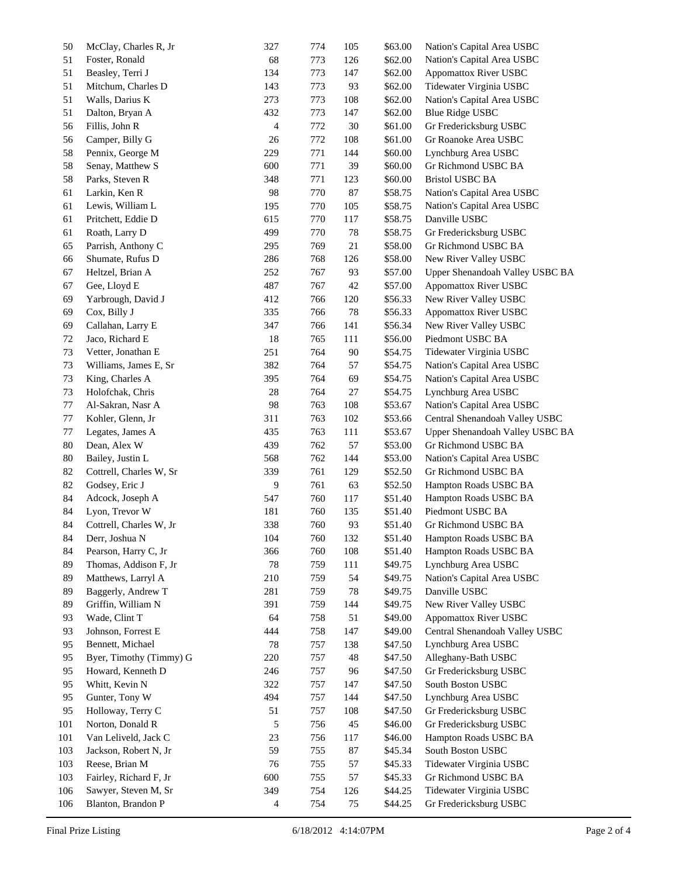| 50  | McClay, Charles R, Jr   | 327 | 774 | 105    | \$63.00 | Nation's Capital Area USBC      |
|-----|-------------------------|-----|-----|--------|---------|---------------------------------|
| 51  | Foster, Ronald          | 68  | 773 | 126    | \$62.00 | Nation's Capital Area USBC      |
| 51  | Beasley, Terri J        | 134 | 773 | 147    | \$62.00 | <b>Appomattox River USBC</b>    |
| 51  | Mitchum, Charles D      | 143 | 773 | 93     | \$62.00 | Tidewater Virginia USBC         |
| 51  | Walls, Darius K         | 273 | 773 | 108    | \$62.00 | Nation's Capital Area USBC      |
| 51  | Dalton, Bryan A         | 432 | 773 | 147    | \$62.00 | <b>Blue Ridge USBC</b>          |
| 56  | Fillis, John R          | 4   | 772 | $30\,$ | \$61.00 | Gr Fredericksburg USBC          |
| 56  | Camper, Billy G         | 26  | 772 | 108    | \$61.00 | Gr Roanoke Area USBC            |
| 58  | Pennix, George M        | 229 | 771 | 144    | \$60.00 | Lynchburg Area USBC             |
| 58  | Senay, Matthew S        | 600 | 771 | 39     | \$60.00 | Gr Richmond USBC BA             |
| 58  | Parks, Steven R         | 348 | 771 | 123    | \$60.00 | <b>Bristol USBC BA</b>          |
| 61  | Larkin, Ken R           | 98  | 770 | 87     | \$58.75 | Nation's Capital Area USBC      |
| 61  | Lewis, William L        | 195 | 770 | 105    | \$58.75 | Nation's Capital Area USBC      |
| 61  | Pritchett, Eddie D      | 615 | 770 | 117    | \$58.75 | Danville USBC                   |
| 61  | Roath, Larry D          | 499 | 770 | 78     | \$58.75 | Gr Fredericksburg USBC          |
| 65  | Parrish, Anthony C      | 295 | 769 | 21     | \$58.00 | Gr Richmond USBC BA             |
| 66  | Shumate, Rufus D        | 286 | 768 | 126    | \$58.00 | New River Valley USBC           |
| 67  | Heltzel, Brian A        | 252 | 767 | 93     | \$57.00 | Upper Shenandoah Valley USBC BA |
| 67  | Gee, Lloyd E            | 487 | 767 | $42\,$ | \$57.00 | <b>Appomattox River USBC</b>    |
| 69  | Yarbrough, David J      | 412 | 766 | 120    | \$56.33 | New River Valley USBC           |
| 69  | Cox, Billy J            | 335 | 766 | 78     | \$56.33 | <b>Appomattox River USBC</b>    |
| 69  | Callahan, Larry E       | 347 | 766 | 141    | \$56.34 | New River Valley USBC           |
| 72  | Jaco, Richard E         | 18  | 765 | 111    | \$56.00 | Piedmont USBC BA                |
| 73  | Vetter, Jonathan E      | 251 | 764 | 90     | \$54.75 | Tidewater Virginia USBC         |
| 73  | Williams, James E, Sr   | 382 | 764 | 57     | \$54.75 | Nation's Capital Area USBC      |
| 73  | King, Charles A         | 395 | 764 | 69     | \$54.75 | Nation's Capital Area USBC      |
| 73  | Holofchak, Chris        | 28  | 764 | 27     | \$54.75 | Lynchburg Area USBC             |
| 77  | Al-Sakran, Nasr A       | 98  | 763 | 108    | \$53.67 | Nation's Capital Area USBC      |
| 77  | Kohler, Glenn, Jr       | 311 | 763 | 102    | \$53.66 | Central Shenandoah Valley USBC  |
| 77  | Legates, James A        | 435 | 763 | 111    | \$53.67 | Upper Shenandoah Valley USBC BA |
| 80  | Dean, Alex W            | 439 | 762 | 57     | \$53.00 | Gr Richmond USBC BA             |
| 80  | Bailey, Justin L        | 568 | 762 | 144    | \$53.00 | Nation's Capital Area USBC      |
| 82  | Cottrell, Charles W, Sr | 339 | 761 | 129    | \$52.50 | Gr Richmond USBC BA             |
| 82  | Godsey, Eric J          | 9   | 761 | 63     | \$52.50 | Hampton Roads USBC BA           |
| 84  | Adcock, Joseph A        | 547 | 760 | 117    | \$51.40 | Hampton Roads USBC BA           |
| 84  | Lyon, Trevor W          | 181 | 760 | 135    | \$51.40 | Piedmont USBC BA                |
| 84  | Cottrell, Charles W, Jr | 338 | 760 | 93     | \$51.40 | Gr Richmond USBC BA             |
| 84  | Derr, Joshua N          | 104 | 760 | 132    | \$51.40 | Hampton Roads USBC BA           |
| 84  | Pearson, Harry C, Jr    | 366 | 760 | 108    | \$51.40 | Hampton Roads USBC BA           |
| 89  | Thomas, Addison F, Jr   | 78  | 759 | 111    | \$49.75 | Lynchburg Area USBC             |
| 89  | Matthews, Larryl A      | 210 | 759 | 54     | \$49.75 | Nation's Capital Area USBC      |
| 89  | Baggerly, Andrew T      | 281 | 759 | 78     | \$49.75 | Danville USBC                   |
| 89  | Griffin, William N      | 391 | 759 | 144    | \$49.75 | New River Valley USBC           |
| 93  | Wade, Clint T           | 64  | 758 | 51     | \$49.00 | <b>Appomattox River USBC</b>    |
| 93  | Johnson, Forrest E      | 444 | 758 | 147    | \$49.00 | Central Shenandoah Valley USBC  |
| 95  | Bennett, Michael        | 78  | 757 | 138    | \$47.50 | Lynchburg Area USBC             |
| 95  | Byer, Timothy (Timmy) G | 220 | 757 | 48     | \$47.50 | Alleghany-Bath USBC             |
| 95  | Howard, Kenneth D       | 246 | 757 | 96     | \$47.50 | Gr Fredericksburg USBC          |
| 95  | Whitt, Kevin N          | 322 | 757 | 147    | \$47.50 | South Boston USBC               |
| 95  | Gunter, Tony W          | 494 | 757 | 144    | \$47.50 | Lynchburg Area USBC             |
| 95  | Holloway, Terry C       | 51  | 757 | 108    | \$47.50 | Gr Fredericksburg USBC          |
| 101 | Norton, Donald R        | 5   | 756 | 45     | \$46.00 | Gr Fredericksburg USBC          |
| 101 | Van Leliveld, Jack C    | 23  | 756 | 117    | \$46.00 | Hampton Roads USBC BA           |
| 103 | Jackson, Robert N, Jr   | 59  | 755 | $87\,$ | \$45.34 | South Boston USBC               |
| 103 | Reese, Brian M          | 76  | 755 | 57     | \$45.33 | Tidewater Virginia USBC         |
| 103 | Fairley, Richard F, Jr  | 600 | 755 | 57     | \$45.33 | Gr Richmond USBC BA             |
| 106 | Sawyer, Steven M, Sr    | 349 | 754 | 126    | \$44.25 | Tidewater Virginia USBC         |
| 106 | Blanton, Brandon P      | 4   | 754 |        | \$44.25 | Gr Fredericksburg USBC          |
|     |                         |     |     | 75     |         |                                 |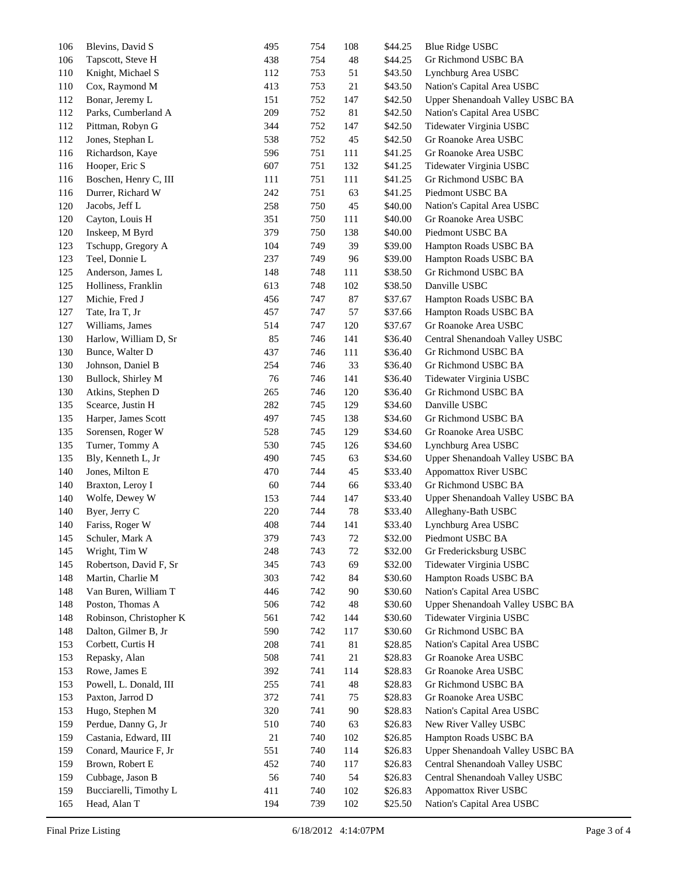| 106 | Blevins, David S        | 495 | 754 | 108 | \$44.25 | <b>Blue Ridge USBC</b>          |
|-----|-------------------------|-----|-----|-----|---------|---------------------------------|
| 106 | Tapscott, Steve H       | 438 | 754 | 48  | \$44.25 | Gr Richmond USBC BA             |
| 110 | Knight, Michael S       | 112 | 753 | 51  | \$43.50 | Lynchburg Area USBC             |
| 110 | Cox, Raymond M          | 413 | 753 | 21  | \$43.50 | Nation's Capital Area USBC      |
| 112 | Bonar, Jeremy L         | 151 | 752 | 147 | \$42.50 | Upper Shenandoah Valley USBC BA |
| 112 | Parks, Cumberland A     | 209 | 752 | 81  | \$42.50 | Nation's Capital Area USBC      |
| 112 | Pittman, Robyn G        | 344 | 752 | 147 | \$42.50 | Tidewater Virginia USBC         |
| 112 | Jones, Stephan L        | 538 | 752 | 45  | \$42.50 | Gr Roanoke Area USBC            |
| 116 | Richardson, Kaye        | 596 | 751 | 111 | \$41.25 | Gr Roanoke Area USBC            |
| 116 | Hooper, Eric S          | 607 | 751 | 132 | \$41.25 | Tidewater Virginia USBC         |
| 116 | Boschen, Henry C, III   | 111 | 751 | 111 | \$41.25 | Gr Richmond USBC BA             |
| 116 | Durrer, Richard W       | 242 | 751 | 63  | \$41.25 | Piedmont USBC BA                |
| 120 | Jacobs, Jeff L          | 258 | 750 | 45  | \$40.00 | Nation's Capital Area USBC      |
| 120 | Cayton, Louis H         | 351 | 750 | 111 | \$40.00 | Gr Roanoke Area USBC            |
| 120 | Inskeep, M Byrd         | 379 | 750 | 138 | \$40.00 | Piedmont USBC BA                |
| 123 | Tschupp, Gregory A      | 104 | 749 | 39  | \$39.00 | Hampton Roads USBC BA           |
| 123 | Teel, Donnie L          | 237 | 749 | 96  | \$39.00 | Hampton Roads USBC BA           |
| 125 | Anderson, James L       | 148 | 748 | 111 | \$38.50 | Gr Richmond USBC BA             |
| 125 | Holliness, Franklin     | 613 | 748 | 102 | \$38.50 | Danville USBC                   |
| 127 | Michie, Fred J          | 456 | 747 | 87  | \$37.67 | Hampton Roads USBC BA           |
| 127 | Tate, Ira T, Jr         | 457 | 747 | 57  | \$37.66 | Hampton Roads USBC BA           |
| 127 | Williams, James         | 514 | 747 | 120 | \$37.67 | Gr Roanoke Area USBC            |
| 130 | Harlow, William D, Sr   | 85  | 746 | 141 | \$36.40 | Central Shenandoah Valley USBC  |
|     |                         |     |     |     |         |                                 |
| 130 | Bunce, Walter D         | 437 | 746 | 111 | \$36.40 | Gr Richmond USBC BA             |
| 130 | Johnson, Daniel B       | 254 | 746 | 33  | \$36.40 | Gr Richmond USBC BA             |
| 130 | Bullock, Shirley M      | 76  | 746 | 141 | \$36.40 | Tidewater Virginia USBC         |
| 130 | Atkins, Stephen D       | 265 | 746 | 120 | \$36.40 | Gr Richmond USBC BA             |
| 135 | Scearce, Justin H       | 282 | 745 | 129 | \$34.60 | Danville USBC                   |
| 135 | Harper, James Scott     | 497 | 745 | 138 | \$34.60 | Gr Richmond USBC BA             |
| 135 | Sorensen, Roger W       | 528 | 745 | 129 | \$34.60 | Gr Roanoke Area USBC            |
| 135 | Turner, Tommy A         | 530 | 745 | 126 | \$34.60 | Lynchburg Area USBC             |
| 135 | Bly, Kenneth L, Jr      | 490 | 745 | 63  | \$34.60 | Upper Shenandoah Valley USBC BA |
| 140 | Jones, Milton E         | 470 | 744 | 45  | \$33.40 | <b>Appomattox River USBC</b>    |
| 140 | Braxton, Leroy I        | 60  | 744 | 66  | \$33.40 | Gr Richmond USBC BA             |
| 140 | Wolfe, Dewey W          | 153 | 744 | 147 | \$33.40 | Upper Shenandoah Valley USBC BA |
| 140 | Byer, Jerry C           | 220 | 744 | 78  | \$33.40 | Alleghany-Bath USBC             |
| 140 | Fariss, Roger W         | 408 | 744 | 141 | \$33.40 | Lynchburg Area USBC             |
| 145 | Schuler, Mark A         | 379 | 743 | 72  | \$32.00 | Piedmont USBC BA                |
| 145 | Wright, Tim W           | 248 | 743 | 72  | \$32.00 | Gr Fredericksburg USBC          |
| 145 | Robertson, David F, Sr  | 345 | 743 | 69  | \$32.00 | Tidewater Virginia USBC         |
| 148 | Martin, Charlie M       | 303 | 742 | 84  | \$30.60 | Hampton Roads USBC BA           |
| 148 | Van Buren, William T    | 446 | 742 | 90  | \$30.60 | Nation's Capital Area USBC      |
| 148 | Poston, Thomas A        | 506 | 742 | 48  | \$30.60 | Upper Shenandoah Valley USBC BA |
| 148 | Robinson, Christopher K | 561 | 742 | 144 | \$30.60 | Tidewater Virginia USBC         |
| 148 | Dalton, Gilmer B, Jr    | 590 | 742 | 117 | \$30.60 | Gr Richmond USBC BA             |
| 153 | Corbett, Curtis H       | 208 | 741 | 81  | \$28.85 | Nation's Capital Area USBC      |
| 153 | Repasky, Alan           | 508 | 741 | 21  | \$28.83 | Gr Roanoke Area USBC            |
| 153 | Rowe, James E           | 392 | 741 | 114 | \$28.83 | Gr Roanoke Area USBC            |
| 153 | Powell, L. Donald, III  | 255 | 741 | 48  | \$28.83 | Gr Richmond USBC BA             |
| 153 | Paxton, Jarrod D        | 372 | 741 | 75  | \$28.83 | Gr Roanoke Area USBC            |
| 153 | Hugo, Stephen M         | 320 | 741 | 90  | \$28.83 | Nation's Capital Area USBC      |
| 159 | Perdue, Danny G, Jr     | 510 | 740 | 63  | \$26.83 | New River Valley USBC           |
| 159 | Castania, Edward, III   | 21  | 740 | 102 | \$26.85 | Hampton Roads USBC BA           |
| 159 | Conard, Maurice F, Jr   | 551 | 740 | 114 | \$26.83 | Upper Shenandoah Valley USBC BA |
| 159 | Brown, Robert E         | 452 | 740 | 117 | \$26.83 | Central Shenandoah Valley USBC  |
| 159 | Cubbage, Jason B        | 56  | 740 | 54  | \$26.83 | Central Shenandoah Valley USBC  |
| 159 | Bucciarelli, Timothy L  | 411 | 740 | 102 | \$26.83 | <b>Appomattox River USBC</b>    |
| 165 | Head, Alan T            | 194 | 739 | 102 | \$25.50 | Nation's Capital Area USBC      |
|     |                         |     |     |     |         |                                 |